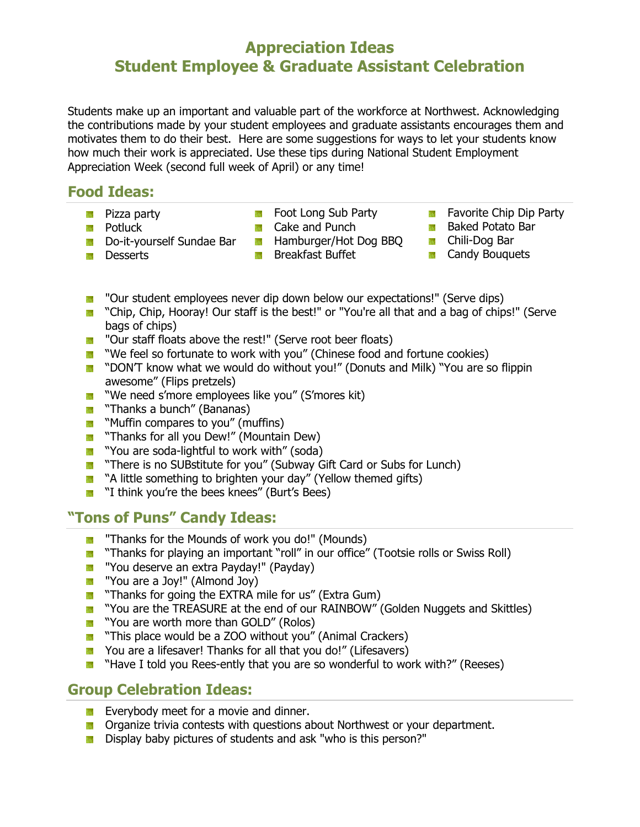# **Appreciation Ideas Student Employee & Graduate Assistant Celebration**

Students make up an important and valuable part of the workforce at Northwest. Acknowledging the contributions made by your student employees and graduate assistants encourages them and motivates them to do their best. Here are some suggestions for ways to let your students know how much their work is appreciated. Use these tips during National Student Employment Appreciation Week (second full week of April) or any time!

### **Food Ideas:**

**Pizza party** 

- **Foot Long Sub Party**
- **Cake and Punch**
- **Do-it-yourself Sundae Bar**
- **Desserts**

**Potluck** 

- **Hamburger/Hot Dog BBQ**
- **Breakfast Buffet**
- **Favorite Chip Dip Party**
- **Baked Potato Bar**
- **Chili-Dog Bar**
- **Candy Bouquets**
- "Our student employees never dip down below our expectations!" (Serve dips) 鬣
- **1** "Chip, Chip, Hooray! Our staff is the best!" or "You're all that and a bag of chips!" (Serve bags of chips)
- **T** "Our staff floats above the rest!" (Serve root beer floats)
- **T** "We feel so fortunate to work with you" (Chinese food and fortune cookies)
- **T** "DON'T know what we would do without you!" (Donuts and Milk) "You are so flippin awesome" (Flips pretzels)
- **T** "We need s'more employees like you" (S'mores kit)
- **Thanks a bunch'' (Bananas)**
- **Muffin compares to you" (muffins)**
- **Thanks for all you Dew!" (Mountain Dew)**
- **T** "You are soda-lightful to work with" (soda)
- **T** "There is no SUBstitute for you" (Subway Gift Card or Subs for Lunch)
- **A** "A little something to brighten your day" (Yellow themed gifts)
- **T** "I think you're the bees knees" (Burt's Bees)

# **"Tons of Puns" Candy Ideas:**

- **T** "Thanks for the Mounds of work you do!" (Mounds)
- **T** "Thanks for playing an important "roll" in our office" (Tootsie rolls or Swiss Roll)
- **A** "You deserve an extra Payday!" (Payday)
- **The "You are a Joy!" (Almond Joy)**
- **Thanks for going the EXTRA mile for us'' (Extra Gum)**
- **T** "You are the TREASURE at the end of our RAINBOW" (Golden Nuggets and Skittles)
- **T** "You are worth more than GOLD" (Rolos)
- **This place would be a ZOO without you" (Animal Crackers)**
- You are a lifesaver! Thanks for all that you do!" (Lifesavers)
- **T** "Have I told you Rees-ently that you are so wonderful to work with?" (Reeses)

### **Group Celebration Ideas:**

- Everybody meet for a movie and dinner.
- **DE** Organize trivia contests with questions about Northwest or your department.
- **Display baby pictures of students and ask "who is this person?"**